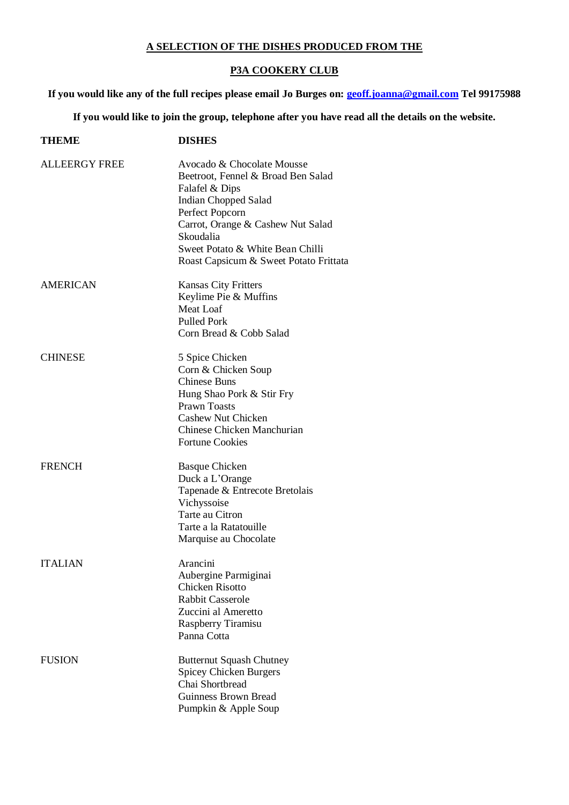## **A SELECTION OF THE DISHES PRODUCED FROM THE**

## **P3A COOKERY CLUB**

**If you would like any of the full recipes please email Jo Burges on: [geoff.joanna@gmail.com](mailto:geoff.joanna@gmail.com) Tel 99175988**

**If you would like to join the group, telephone after you have read all the details on the website.**

| <b>THEME</b>         | <b>DISHES</b>                                                                                                                                                                                                                                                        |
|----------------------|----------------------------------------------------------------------------------------------------------------------------------------------------------------------------------------------------------------------------------------------------------------------|
| <b>ALLEERGY FREE</b> | Avocado & Chocolate Mousse<br>Beetroot, Fennel & Broad Ben Salad<br>Falafel & Dips<br><b>Indian Chopped Salad</b><br>Perfect Popcorn<br>Carrot, Orange & Cashew Nut Salad<br>Skoudalia<br>Sweet Potato & White Bean Chilli<br>Roast Capsicum & Sweet Potato Frittata |
| <b>AMERICAN</b>      | <b>Kansas City Fritters</b><br>Keylime Pie & Muffins<br>Meat Loaf<br><b>Pulled Pork</b><br>Corn Bread & Cobb Salad                                                                                                                                                   |
| <b>CHINESE</b>       | 5 Spice Chicken<br>Corn & Chicken Soup<br><b>Chinese Buns</b><br>Hung Shao Pork & Stir Fry<br><b>Prawn Toasts</b><br>Cashew Nut Chicken<br>Chinese Chicken Manchurian<br><b>Fortune Cookies</b>                                                                      |
| <b>FRENCH</b>        | <b>Basque Chicken</b><br>Duck a L'Orange<br>Tapenade & Entrecote Bretolais<br>Vichyssoise<br>Tarte au Citron<br>Tarte a la Ratatouille<br>Marquise au Chocolate                                                                                                      |
| <b>ITALIAN</b>       | Arancini<br>Aubergine Parmiginai<br><b>Chicken Risotto</b><br><b>Rabbit Casserole</b><br>Zuccini al Ameretto<br>Raspberry Tiramisu<br>Panna Cotta                                                                                                                    |
| <b>FUSION</b>        | <b>Butternut Squash Chutney</b><br><b>Spicey Chicken Burgers</b><br>Chai Shortbread<br>Guinness Brown Bread<br>Pumpkin & Apple Soup                                                                                                                                  |